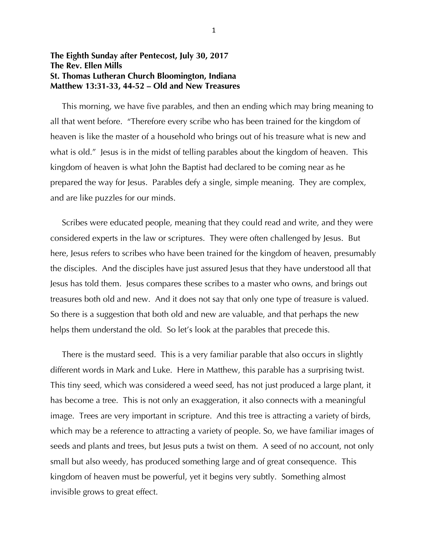## **The Eighth Sunday after Pentecost, July 30, 2017 The Rev. Ellen Mills St. Thomas Lutheran Church Bloomington, Indiana Matthew 13:31-33, 44-52 – Old and New Treasures**

 This morning, we have five parables, and then an ending which may bring meaning to all that went before. "Therefore every scribe who has been trained for the kingdom of heaven is like the master of a household who brings out of his treasure what is new and what is old." Jesus is in the midst of telling parables about the kingdom of heaven. This kingdom of heaven is what John the Baptist had declared to be coming near as he prepared the way for Jesus. Parables defy a single, simple meaning. They are complex, and are like puzzles for our minds.

 Scribes were educated people, meaning that they could read and write, and they were considered experts in the law or scriptures. They were often challenged by Jesus. But here, Jesus refers to scribes who have been trained for the kingdom of heaven, presumably the disciples. And the disciples have just assured Jesus that they have understood all that Jesus has told them. Jesus compares these scribes to a master who owns, and brings out treasures both old and new. And it does not say that only one type of treasure is valued. So there is a suggestion that both old and new are valuable, and that perhaps the new helps them understand the old. So let's look at the parables that precede this.

 There is the mustard seed. This is a very familiar parable that also occurs in slightly different words in Mark and Luke. Here in Matthew, this parable has a surprising twist. This tiny seed, which was considered a weed seed, has not just produced a large plant, it has become a tree. This is not only an exaggeration, it also connects with a meaningful image. Trees are very important in scripture. And this tree is attracting a variety of birds, which may be a reference to attracting a variety of people. So, we have familiar images of seeds and plants and trees, but Jesus puts a twist on them. A seed of no account, not only small but also weedy, has produced something large and of great consequence. This kingdom of heaven must be powerful, yet it begins very subtly. Something almost invisible grows to great effect.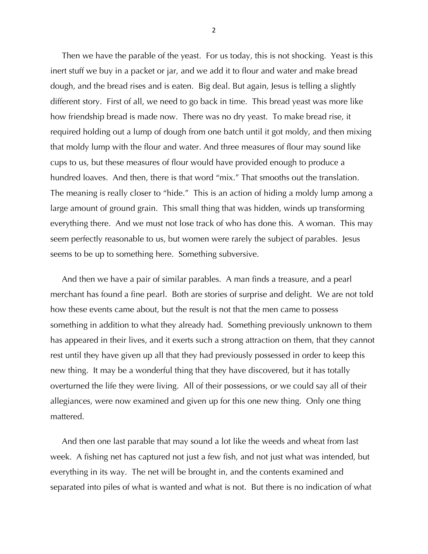Then we have the parable of the yeast. For us today, this is not shocking. Yeast is this inert stuff we buy in a packet or jar, and we add it to flour and water and make bread dough, and the bread rises and is eaten. Big deal. But again, Jesus is telling a slightly different story. First of all, we need to go back in time. This bread yeast was more like how friendship bread is made now. There was no dry yeast. To make bread rise, it required holding out a lump of dough from one batch until it got moldy, and then mixing that moldy lump with the flour and water. And three measures of flour may sound like cups to us, but these measures of flour would have provided enough to produce a hundred loaves. And then, there is that word "mix." That smooths out the translation. The meaning is really closer to "hide." This is an action of hiding a moldy lump among a large amount of ground grain. This small thing that was hidden, winds up transforming everything there. And we must not lose track of who has done this. A woman. This may seem perfectly reasonable to us, but women were rarely the subject of parables. Jesus seems to be up to something here. Something subversive.

 And then we have a pair of similar parables. A man finds a treasure, and a pearl merchant has found a fine pearl. Both are stories of surprise and delight. We are not told how these events came about, but the result is not that the men came to possess something in addition to what they already had. Something previously unknown to them has appeared in their lives, and it exerts such a strong attraction on them, that they cannot rest until they have given up all that they had previously possessed in order to keep this new thing. It may be a wonderful thing that they have discovered, but it has totally overturned the life they were living. All of their possessions, or we could say all of their allegiances, were now examined and given up for this one new thing. Only one thing mattered.

 And then one last parable that may sound a lot like the weeds and wheat from last week. A fishing net has captured not just a few fish, and not just what was intended, but everything in its way. The net will be brought in, and the contents examined and separated into piles of what is wanted and what is not. But there is no indication of what

2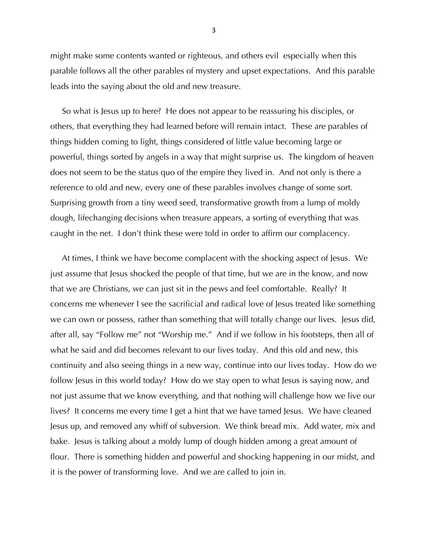might make some contents wanted or righteous, and others evil especially when this parable follows all the other parables of mystery and upset expectations. And this parable leads into the saying about the old and new treasure.

 So what is Jesus up to here? He does not appear to be reassuring his disciples, or others, that everything they had learned before will remain intact. These are parables of things hidden coming to light, things considered of little value becoming large or powerful, things sorted by angels in a way that might surprise us. The kingdom of heaven does not seem to be the status quo of the empire they lived in. And not only is there a reference to old and new, every one of these parables involves change of some sort. Surprising growth from a tiny weed seed, transformative growth from a lump of moldy dough, lifechanging decisions when treasure appears, a sorting of everything that was caught in the net. I don't think these were told in order to affirm our complacency.

 At times, I think we have become complacent with the shocking aspect of Jesus. We just assume that Jesus shocked the people of that time, but we are in the know, and now that we are Christians, we can just sit in the pews and feel comfortable. Really? It concerns me whenever I see the sacrificial and radical love of Jesus treated like something we can own or possess, rather than something that will totally change our lives. Jesus did, after all, say "Follow me" not "Worship me." And if we follow in his footsteps, then all of what he said and did becomes relevant to our lives today. And this old and new, this continuity and also seeing things in a new way, continue into our lives today. How do we follow Jesus in this world today? How do we stay open to what Jesus is saying now, and not just assume that we know everything, and that nothing will challenge how we live our lives? It concerns me every time I get a hint that we have tamed Jesus. We have cleaned Jesus up, and removed any whiff of subversion. We think bread mix. Add water, mix and bake. Jesus is talking about a moldy lump of dough hidden among a great amount of flour. There is something hidden and powerful and shocking happening in our midst, and it is the power of transforming love. And we are called to join in.

3